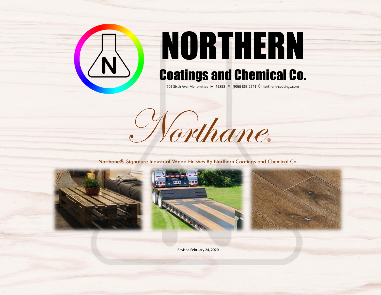

## NORTHERN Coatings and Chemical Co.

705 Sixth Ave. Menominee, MI 49858  $\Diamond$  (906) 863 2641  $\Diamond$  northern-coatings.com



Northane<sup>®</sup> Signature Industrial Wood Finishes By Northern Coatings and Chemical Co.







Revised February 24, 2020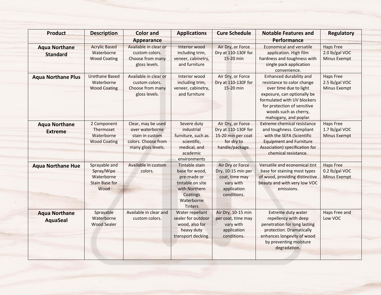| <b>Product</b>                          | <b>Description</b>                                                         | <b>Color</b> and<br><b>Appearance</b>                                                                 | <b>Applications</b>                                                                                                              | <b>Cure Schedule</b>                                                                                | <b>Notable Features and</b><br>Performance                                                                                                                                                                                            | <b>Regulatory</b>                                         |
|-----------------------------------------|----------------------------------------------------------------------------|-------------------------------------------------------------------------------------------------------|----------------------------------------------------------------------------------------------------------------------------------|-----------------------------------------------------------------------------------------------------|---------------------------------------------------------------------------------------------------------------------------------------------------------------------------------------------------------------------------------------|-----------------------------------------------------------|
| <b>Aqua Northane</b><br><b>Standard</b> | <b>Acrylic Based</b><br>Waterborne<br><b>Wood Coating</b>                  | Available in clear or<br>custom colors.<br>Choose from many<br>gloss levels.                          | Interior wood<br>including trim,<br>veneer, cabinetry,<br>and furniture                                                          | Air Dry, or Force<br>Dry at 110-130F for<br>15-20 min                                               | <b>Economical and versatile</b><br>application. High film<br>hardness and toughness with<br>single pack application<br>convenience.                                                                                                   | <b>Haps Free</b><br>2.0 lb/gal VOC<br>Minus Exempt        |
| <b>Aqua Northane Plus</b>               | <b>Urethane Based</b><br>Waterborne<br><b>Wood Coating</b>                 | Available in clear or<br>custom colors.<br>Choose from many<br>gloss levels.                          | Interior wood<br>including trim,<br>veneer, cabinetry,<br>and furniture                                                          | Air Dry, or Force<br>Dry at 110-130F for<br>15-20 min                                               | <b>Enhanced durability and</b><br>resistance to color change<br>over time due to light<br>exposure, can optionally be<br>formulated with UV blockers<br>for protection of sensitive<br>woods such as cherry,<br>mahogany, and poplar. | <b>Haps Free</b><br>2.5 lb/gal VOC<br>Minus Exempt        |
| <b>Aqua Northane</b><br><b>Extreme</b>  | 2 Component<br>Thermoset<br>Waterborne<br><b>Wood Coating</b>              | Clear, may be used<br>over waterborne<br>stain in custom<br>colors. Choose from<br>many gloss levels. | Severe duty<br>industrial<br>furniture, such as<br>scientific,<br>medical, and<br>academic<br>environments                       | Air Dry, or Force<br>Dry at 110-130F for<br>15-20 min per coat<br>for dry to<br>handle/package.     | <b>Extreme chemical resistance</b><br>and toughness. Compliant<br>with the SEFA (Scientific<br><b>Equipment and Furniture</b><br>Association) specification for<br>chemical resistance.                                               | <b>Haps Free</b><br>1.7 lb/gal VOC<br><b>Minus Exempt</b> |
| <b>Aqua Northane Hue</b>                | Sprayable and<br>Spray/Wipe<br>Waterborne<br><b>Stain Base for</b><br>Wood | Available in custom<br>colors.                                                                        | Tintable stain<br>base for wood,<br>pre-made or<br>tintable on site<br>with Northern<br>Coatings<br>Waterborne<br><b>Tinters</b> | Air Dry or Force<br>Dry, 10-15 min per<br>coat, time may<br>vary with<br>application<br>conditions. | Versatile and economical tint<br>base for staining most types<br>of wood, providing distinctive<br>beauty and with very low VOC<br>emissions.                                                                                         | <b>Haps Free</b><br>0.2 lb/gal VOC<br><b>Minus Exempt</b> |
| <b>Aqua Northane</b><br><b>AquaSeal</b> | Sprayable<br>Waterborne<br><b>Wood Sealer</b>                              | Available in clear and<br>custom colors.                                                              | Water repellant<br>sealer for outdoor<br>wood, also for<br>heavy duty<br>transport decking.                                      | Air Dry, 10-15 min<br>per coat, time may<br>vary with<br>application<br>conditions.                 | Extreme duty water<br>repellency with deep<br>penetration for long lasting<br>protection. Dramatically<br>enhances longevity of wood<br>by preventing moisture<br>degradation.                                                        | Haps Free and<br>Low VOC                                  |

 $\frac{1}{2} \left( \frac{1}{2} \right) \left( \frac{1}{2} \right) \left( \frac{1}{2} \right)$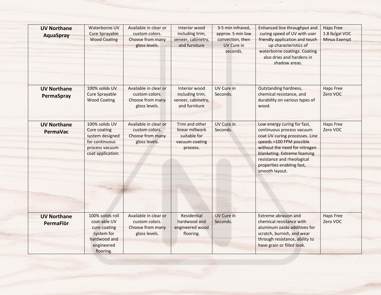| <b>UV Northane</b><br><b>AquaSpray</b> | Waterborne UV<br>Cure Sprayable<br><b>Wood Coating</b>                                                     | Available in clear or<br>custom colors.<br>Choose from many<br>gloss levels. | Interior wood<br>including trim,<br>veneer, cabinetry,<br>and furniture         | 3-5 min Infrared,<br>approx. 5 min low<br>convection, then<br>UV Cure in<br>seconds. | Enhanced line throughput and<br>curing speed of UV with user<br>friendly application and touch<br>up characteristics of<br>waterborne coatings. Coating<br>also dries and hardens in<br>shadow areas.                                                               | <b>Haps Free</b><br>1.8 lb/gal VOC<br><b>Minus Exempt</b> |
|----------------------------------------|------------------------------------------------------------------------------------------------------------|------------------------------------------------------------------------------|---------------------------------------------------------------------------------|--------------------------------------------------------------------------------------|---------------------------------------------------------------------------------------------------------------------------------------------------------------------------------------------------------------------------------------------------------------------|-----------------------------------------------------------|
| <b>UV Northane</b><br>PermaSpray       | 100% solids UV<br>Cure Sprayable<br><b>Wood Coating</b>                                                    | Available in clear or<br>custom colors.<br>Choose from many                  | Interior wood<br>including trim,<br>veneer, cabinetry,                          | UV Cure in<br>Seconds.                                                               | Outstanding hardness,<br>chemical resistance, and<br>durability on various types of                                                                                                                                                                                 | <b>Haps Free</b><br>Zero VOC                              |
|                                        |                                                                                                            | gloss levels.                                                                | and furniture                                                                   |                                                                                      | wood.                                                                                                                                                                                                                                                               |                                                           |
| <b>UV Northane</b><br><b>PermaVac</b>  | 100% solids UV<br>Cure coating<br>system designed<br>for continuous<br>process vacuum<br>coat application. | Available in clear or<br>custom colors.<br>Choose from many<br>gloss levels. | Trim and other<br>linear millwork<br>suitable for<br>vacuum coating<br>process. | UV Cure in<br>Seconds.                                                               | Low energy curing for fast,<br>continuous process vacuum<br>coat UV curing processes. Line<br>speeds >100 FPM possible<br>without the need for nitrogen<br>blanketing. Extreme foaming<br>resistance and rheological<br>properties enabling fast,<br>smooth layout. | <b>Haps Free</b><br>Zero VOC                              |
|                                        |                                                                                                            |                                                                              |                                                                                 |                                                                                      |                                                                                                                                                                                                                                                                     |                                                           |
| <b>UV Northane</b><br><b>PermaFlòr</b> | 100% solids roll<br>coat-able UV<br>cure coating<br>system for<br>hardwood and<br>engineered<br>flooring.  | Available in clear or<br>custom colors.<br>Choose from many<br>gloss levels. | Residential<br>hardwood and<br>engineered wood<br>flooring.                     | UV Cure in<br>Seconds.                                                               | <b>Extreme abrasion and</b><br>chemical resistance with<br>aluminum oxide additives for<br>scratch, burnish, and wear<br>through resistance, ability to<br>have grain or filled look.                                                                               | <b>Haps Free</b><br>Zero VOC                              |